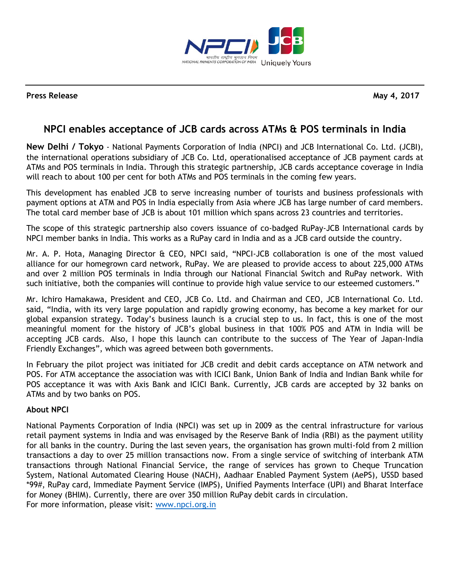

**Press Release May 4, 2017** 

## **NPCI enables acceptance of JCB cards across ATMs & POS terminals in India**

**New Delhi / Tokyo** - National Payments Corporation of India (NPCI) and JCB International Co. Ltd. (JCBI), the international operations subsidiary of JCB Co. Ltd, operationalised acceptance of JCB payment cards at ATMs and POS terminals in India. Through this strategic partnership, JCB cards acceptance coverage in India will reach to about 100 per cent for both ATMs and POS terminals in the coming few years.

This development has enabled JCB to serve increasing number of tourists and business professionals with payment options at ATM and POS in India especially from Asia where JCB has large number of card members. The total card member base of JCB is about 101 million which spans across 23 countries and territories.

The scope of this strategic partnership also covers issuance of co-badged RuPay-JCB International cards by NPCI member banks in India. This works as a RuPay card in India and as a JCB card outside the country.

Mr. A. P. Hota, Managing Director & CEO, NPCI said, "NPCI-JCB collaboration is one of the most valued alliance for our homegrown card network, RuPay. We are pleased to provide access to about 225,000 ATMs and over 2 million POS terminals in India through our National Financial Switch and RuPay network. With such initiative, both the companies will continue to provide high value service to our esteemed customers."

Mr. Ichiro Hamakawa, President and CEO, JCB Co. Ltd. and Chairman and CEO, JCB International Co. Ltd. said, "India, with its very large population and rapidly growing economy, has become a key market for our global expansion strategy. Today's business launch is a crucial step to us. In fact, this is one of the most meaningful moment for the history of JCB's global business in that 100% POS and ATM in India will be accepting JCB cards. Also, I hope this launch can contribute to the success of The Year of Japan-India Friendly Exchanges", which was agreed between both governments.

In February the pilot project was initiated for JCB credit and debit cards acceptance on ATM network and POS. For ATM acceptance the association was with ICICI Bank, Union Bank of India and Indian Bank while for POS acceptance it was with Axis Bank and ICICI Bank. Currently, JCB cards are accepted by 32 banks on ATMs and by two banks on POS.

## **About NPCI**

National Payments Corporation of India (NPCI) was set up in 2009 as the central infrastructure for various retail payment systems in India and was envisaged by the Reserve Bank of India (RBI) as the payment utility for all banks in the country. During the last seven years, the organisation has grown multi-fold from 2 million transactions a day to over 25 million transactions now. From a single service of switching of interbank ATM transactions through National Financial Service, the range of services has grown to Cheque Truncation System, National Automated Clearing House (NACH), Aadhaar Enabled Payment System (AePS), USSD based \*99#, RuPay card, Immediate Payment Service (IMPS), Unified Payments Interface (UPI) and Bharat Interface for Money (BHIM). Currently, there are over 350 million RuPay debit cards in circulation. For more information, please visit: [www.npci.org.in](http://www.npci.org.in/)